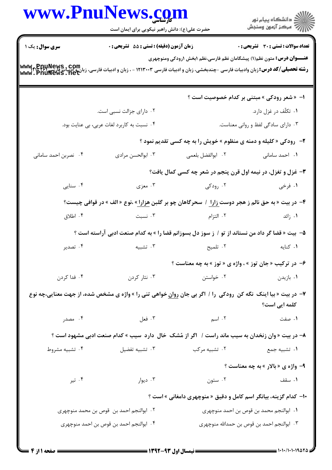|                                         | www.PnuNews.com<br>حضرت علی(ع): دانش راهبر نیکویی برای ایمان است                                                                                                                                                                 |                                                                              | ِ دانشڪاه پيام نور<br>/√ مرڪز آزمون وسنڊش          |
|-----------------------------------------|----------------------------------------------------------------------------------------------------------------------------------------------------------------------------------------------------------------------------------|------------------------------------------------------------------------------|----------------------------------------------------|
| <b>سری سوال :</b> یک ۱                  | <b>زمان آزمون (دقیقه) : تستی : 55 تشریحی : 0</b>                                                                                                                                                                                 |                                                                              | <b>تعداد سوالات : تستی : 30 ٪ تشریحی : 0</b>       |
|                                         | رشته تحصیلی/کد درس: زبان وادبیات فارسی -چندبخشی، زبان و ادبیات فارسی ۱۲۱۳۰۰۳ - ، زبان و ادبیات فارسی، زبان وادب<br> www . PnuNews . net                                                                                          | <b>عنـــوان درس:</b> متون نظم(۱) پیشگامان نظم فارسی،نظم ۱بخش ۱رودکی ومنوچهری |                                                    |
|                                         |                                                                                                                                                                                                                                  |                                                                              | <b>۱- « شعر رودکی » مبتنی بر کدام خصوصیت است</b> ؟ |
|                                         | ۰۲ دارای جزالت نسبی است.                                                                                                                                                                                                         |                                                                              | ۰۱ تکلّف در غزل دارد.                              |
|                                         | ۰۴ نسبت به کاربرد لغات عربی، بی عنایت بود.                                                                                                                                                                                       |                                                                              | ۰۳ دارای سادگی لفظ و روانی معناست.                 |
|                                         |                                                                                                                                                                                                                                  | <b>۲</b> - رودکی « کلیله و دمنه ی منظوم » خویش را به چه کسی تقدیم نمود ؟     |                                                    |
| ۰۴ نصربن احمد سامانی                    | ۰۳ ابوالحسن مرادي                                                                                                                                                                                                                | ٢. ابوالفضل بلعمى                                                            | ٠١. احمد سامانى                                    |
|                                         |                                                                                                                                                                                                                                  | 4- غزل و تغزل، در نیمه اول قرن پنجم در شعر چه کسی کمال یافت؟                 |                                                    |
| ۰۴ سنایی                                | ۰۳ معزی                                                                                                                                                                                                                          | ۰۲ رودگی                                                                     | ۰۱ فرخی                                            |
|                                         | ۴- در بیت « به حق نالم ز هجر دوست <u>زارا ۱</u> سحرگاهان چو بر گلبن <u>هزارا</u> » ،نوع « الف » در قوافی چیست؟                                                                                                                   |                                                                              |                                                    |
| ۰۴ اطلاق                                |                                                                                                                                                                                                                                  | ۲ التزام مسبت است.                                                           | ۰۱ زائد                                            |
|                                         | ۵−  بیت « قضا گر داد من نستاند از تو / ز سوز دل بسوزانم قضا را » به کدام صنعت ادبی آراسته است ؟                                                                                                                                  |                                                                              |                                                    |
| ۰۴ تصدير                                | ۰۳ تشبیه                                                                                                                                                                                                                         | ۰۲ تلمیح                                                                     | ٠١ كنايه                                           |
|                                         |                                                                                                                                                                                                                                  | ۶- در ترکیب «جان توز » ، واژه ی « توز » به چه معناست ؟                       |                                                    |
| ۰۴ فدا کردن                             | ۰۳ نثار کردن                                                                                                                                                                                                                     | ۰۲ خواستن                                                                    | ۰۱ بازیدن                                          |
|                                         | ۷- در بیت « بیا اینک  نگه کن  رودکی  را /  اگر بی جان روان خواهی تنی را » واژه ی مشخص شده، از جهت معنایی،چه نوع                                                                                                                  |                                                                              | کلمه ایی است؟                                      |
| ۰۴ مصدر                                 | ۰۱ صفت می کنیم اسم اسم به معنی می کنیم اسم می کنیم اسم می کنیم اسم می کنیم اسم می کنیم که در این کنیم است که ا<br>منابع اسم می کنیم است که است که است که است که است که است که است که است که است که است که است که است که است که ا |                                                                              |                                                    |
|                                         | ۸– در بیت « وان زنخدان به سیب ماند راست /   اگر از مُشک  خال  دارد  سیب » کدام صنعت ادبی مشهود است ؟                                                                                                                             |                                                                              |                                                    |
| ۰۴ تشبيه مشروط                          | ۰۳ تشبیه تفضیل                                                                                                                                                                                                                   | ۰۲ تشبیه مرکب                                                                | ۰۱ تشبیه جمع                                       |
|                                         |                                                                                                                                                                                                                                  |                                                                              | <b>۹- واژه ی « بالار » به چه معناست ؟</b>          |
| ۰۴ تیر                                  | ۰۳ دیوار                                                                                                                                                                                                                         |                                                                              |                                                    |
|                                         |                                                                                                                                                                                                                                  | <b>۱۰</b> - کدام گزینه، بیانگر اسم کامل و دقیق « منوچهری دامغانی » است ؟     |                                                    |
| ۰۲ ابوالنجم احمد بن قوص بن محمد منوچهری |                                                                                                                                                                                                                                  | ٠١. ابوالنجم محمد بن قوص بن احمد منوچهري                                     |                                                    |
|                                         | ۰۴ ابوالنجم احمد بن قوص بن احمد منوچهری                                                                                                                                                                                          |                                                                              | ۰۳ ابوالنجم احمد بن قوص بن حمدالله منوچهری         |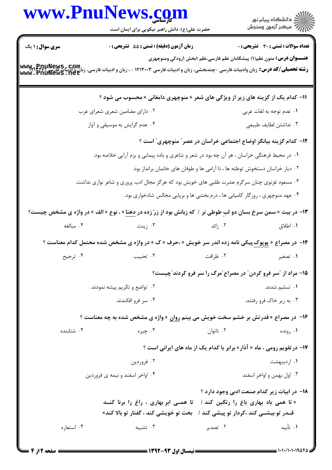|                        | www.PnuNews.com                                                                                                        |             | الارد دانشگاه پيام نور<br>۱۳۸۸ مرکز آزمون وسنجش                              |
|------------------------|------------------------------------------------------------------------------------------------------------------------|-------------|------------------------------------------------------------------------------|
|                        | حضرت علی(ع): دانش راهبر نیکویی برای ایمان است                                                                          |             |                                                                              |
| <b>سری سوال :</b> ۱ یک | <b>زمان آزمون (دقیقه) : تستی : 55 تشریحی : 0</b>                                                                       |             | <b>تعداد سوالات : تستی : 30 - تشریحی : 0</b>                                 |
|                        |                                                                                                                        |             | <b>عنـــوان درس:</b> متون نظم(۱) پیشگامان نظم فارسی،نظم ۱بخش ۱رودکی ومنوچهری |
|                        | 11- کدام یک از گزینه های زیر از ویژگی های شعر « منوچهری دامغانی » محسوب می شود ؟                                       |             |                                                                              |
|                        | ۰۲ دارای مضامین شعری شعرای عرب                                                                                         |             | ۰۱ عدم توجه به لغات عربی                                                     |
|                        | ۰۴ عدم گرایش به موسیقی و آواز                                                                                          |             | ۰۳ نداشتن لطايف طبيعي                                                        |
|                        | ۱۲– کدام گزینه بیانگر اوضاع اجتماعی خراسان در عصر ؒ منوچهری ؒ است ؟                                                    |             |                                                                              |
|                        | ۱. در محیط فرهنگی خراسان ، هر آن چه بود در شعر و شاعری و باده پیمایی و بزم آرایی خلاصه بود.                            |             |                                                                              |
|                        | ۰۲ دیار خراسان دستخوش توطئه ها ، نا آرامی ها و طوفان های خانمان برانداز بود.                                           |             |                                                                              |
|                        | ۰۳ مسعود غزنوی چنان سرگرم عشرت طلبی های خویش بود که هرگز مجال ادب پروری و شاعر نوازی نداشت.                            |             |                                                                              |
|                        | ۰۴ عهد منوچهری ، روزگار کامیابی ها ، درم بخشی ها و برپایی مجالس شادخواری بود.                                          |             |                                                                              |
|                        | ۱۳- در بیت « سمن سرخ بسان دو لبِ طوطی نر / که زبانش بود از زرّ زده در <u>دهنا</u> » ، نوع « الف » در واژه ی مشخص چیست؟ |             |                                                                              |
| ۰۴ مبالغه              | ن زينت $\cdot$ ۳ .                                                                                                     | ۰۲ زائد است | ۰۱ اطلاق                                                                     |
|                        | ۱۴- در مصراع « <u>پوپوک پی</u> کی نامه زده اندر سر خویش » ،حرف « ک » در واژه ی مشخص شده محتمل کدام معناست ؟            |             |                                                                              |
| ۰۴ ترجیح               | ۰۳ تحبيب                                                                                                               | ۰۲ ظرافت    | ۰۱ تصغیر                                                                     |
|                        |                                                                                                                        |             | ۱۵– مراد از "سر فرو کردن" در مصراع"مرگ را سر فرو کردند"چیست؟                 |
|                        | ۰۲ تواضع و تکریم پیشه نمودند.                                                                                          |             | ۰۱ تسلیم شدند.                                                               |
|                        | ۰۴ سر فرو افکندند.                                                                                                     |             | ۰۳ به زیر خاک فرو رفتند.                                                     |
|                        | ۱۶- در مصراع «قدرتش بر خشم سخت خویش می بینم روان » واژه ی مشخص شده به چه معناست ؟                                      |             |                                                                              |
| ۰۴ شتابنده             | ۰۳ چیره                                                                                                                | ۰۲ ناتوان   | ۰۱ رونده                                                                     |
|                        | <b>۱۷- در تقویم رومی ، ماه « آذار» برابر با کدام یک از ماه های ایرانی است ؟</b>                                        |             |                                                                              |
|                        | ۰۲ فروردين                                                                                                             |             | ۰۱ اردیبهشت                                                                  |
|                        | ۰۴ اواخر اسفند و نیمه ی فروردین                                                                                        |             | ۰۳ اول بهمن و اواخر اسفند                                                    |
|                        |                                                                                                                        |             | ۱۸– در ابیات زیر کدام صنعت ادبی وجود دارد ؟                                  |
|                        | « تا همی باد بهاری باغ را رنگین کند /   تا همــی ابر بهاری ، راغ را برنا کنــد                                         |             |                                                                              |
|                        | قــدر تو بيشــي كند ،كردار تو پيشي كند /   بخت تو خويشي كند ، گفتار تو بالا كند»                                       |             |                                                                              |
| ۰۴ استعاره             | ۰۳ تشبیه                                                                                                               | ۰۲ تصدیر    | ۰۱ تأبید                                                                     |
|                        |                                                                                                                        |             |                                                                              |

 $= 1.1 - 11.119$  at a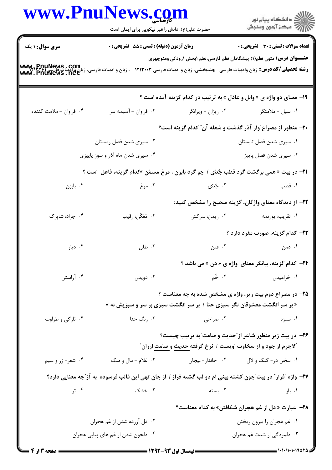|                         | www.PnuNews.co<br>حضرت علی(ع): دانش راهبر نیکویی برای ایمان است                                                                                          |                                                                                                                                                                                                                                 | ڪ دانشڪاه پيا <sub>م</sub> نور<br>∕ <sup>7</sup> مرڪز آزمون وسنڊش             |
|-------------------------|----------------------------------------------------------------------------------------------------------------------------------------------------------|---------------------------------------------------------------------------------------------------------------------------------------------------------------------------------------------------------------------------------|-------------------------------------------------------------------------------|
| <b>سری سوال : ۱ یک</b>  | <b>زمان آزمون (دقیقه) : تستی : 55 تشریحی : 0</b>                                                                                                         |                                                                                                                                                                                                                                 | <b>تعداد سوالات : تستی : 30 ٪ تشریحی : 0</b>                                  |
|                         | <b>رشته تحصیلی/کد درس:</b> زبان وادبیات فارسی -چندبخشی، زبان و ادبیات فارسی ۱۲۱۳۰۰۳ - ، زبان و ادبیات فارسی، زبان و ادبیات فارسی<br>www . PnufNews . net |                                                                                                                                                                                                                                 | <b>عنــــوان درس:</b> متون نظم(۱) پیشگامان نظم فارسی،نظم ۱بخش ۱رودکی ومنوچهری |
|                         |                                                                                                                                                          |                                                                                                                                                                                                                                 | ۱۹- معنای دو واژه ی « وابل و عاذل » به ترتیب در کدام گزینه آمده است ؟         |
| ۰۴ فراوان - ملامت كننده | ۰۳ فراوان - آسیمه سر                                                                                                                                     | ۰۲ ریزان - ویرانگر                                                                                                                                                                                                              | ۰۱ سیل - ملامتگر                                                              |
|                         |                                                                                                                                                          |                                                                                                                                                                                                                                 | <b>۳۰</b> - منظور از مصراع ًوار آذر گذشت و شعله آن ً کدام گزینه است؟          |
|                         | ۰۲ سپری شدن فصل زمستان                                                                                                                                   |                                                                                                                                                                                                                                 | ۰۱ سپری شدن فصل تابستان                                                       |
|                         | ۰۴ سپری شدن ماه آذر و سوز پاییزی                                                                                                                         |                                                                                                                                                                                                                                 | ۰۳ سپری شدن فصل پاییز                                                         |
|                         | <b>۲۱</b> - در بیت « همی برگشت گرد قطب جُدّی / چو گرد بابزن ، مرغ مسمّن »کدام گزینه، فاعل  است ؟                                                         |                                                                                                                                                                                                                                 |                                                                               |
| ۰۴ بابزن                | ۰۳ مرغ                                                                                                                                                   | ۰۲ جُدّی                                                                                                                                                                                                                        | ۰۱ قطب                                                                        |
|                         |                                                                                                                                                          |                                                                                                                                                                                                                                 | <b>۲۲</b> – از دیدگاه معنای واژگان، گزینه صحیح را مشخص کنید:                  |
| ۰۴ جراد: شاپرک          | ۰۳ مُعَكّن: رقيب                                                                                                                                         | ۰۲ ريمن: سرکش                                                                                                                                                                                                                   | ۰۱ تقریب: یورتمه                                                              |
|                         |                                                                                                                                                          |                                                                                                                                                                                                                                 | <b>۲۳</b> - کدام گزینه، صورت مفرد دارد ؟                                      |
| ۰۴ دیار                 | ۰۳ طلل                                                                                                                                                   | ۲. فتن                                                                                                                                                                                                                          | ۰۱ دمن                                                                        |
|                         |                                                                                                                                                          |                                                                                                                                                                                                                                 | <b>۲۴</b> - کدام گزینه، بیانگر معنای واژه ی «دن » می باشد ؟                   |
| ۰۴ آراستن               | ۰۳ دویدن                                                                                                                                                 | $\overrightarrow{r}$ . T                                                                                                                                                                                                        | ۰۱ خرامیدن                                                                    |
|                         |                                                                                                                                                          |                                                                                                                                                                                                                                 | <b>۲۵</b> - در مصراع دوم بیت زیر، واژه ی مشخص شده به چه معناست ؟              |
|                         | « بر سر انگشت معشوقان نگر سبزی حنا / بر سر انگشت <u>سبزی</u> بر سر و سبزیش نه »                                                                          |                                                                                                                                                                                                                                 |                                                                               |
| ۰۴ تازگی و طراوت        |                                                                                                                                                          | ۰۱ سبزه مسبزه است. ۲۰ سراحی مسبز استان به محمد استان به محمد استان میکند. استان محمد استان محمد استان استان اس<br>محمد استان محمد استان محمد استان محمد استان محمد استان محمد استان محمد استان محمد استان محمد استان محمد استان |                                                                               |
|                         |                                                                                                                                                          |                                                                                                                                                                                                                                 | ۲۶- در بیت زیر منظور شاعر از ًحدیث و صامت ّبه ترتیب چیست؟                     |
|                         |                                                                                                                                                          | <b>"لاجرم از جود و از سخاوت اویست / نرخ گرفته <u>حدیث و صامت</u> ارزان</b> "                                                                                                                                                    |                                                                               |
| ۰۴ شعر- زر و سیم        | ۰۳ غلام - مال و ملک                                                                                                                                      |                                                                                                                                                                                                                                 | ۰۱ سخن در- گنگ و لال مسمع ۲۰۲ جاندار- بیجان                                   |
|                         | <b>۲۷</b> – واژه "فراز" در بیت"چون کشته بینی ام دو لب گشته <u>فراز</u> / از جان تهی این قالب فرسوده  به آز"چه معنایی دارد؟                               |                                                                                                                                                                                                                                 |                                                                               |
|                         | ۰۳ خشک ۴۰۰ تر                                                                                                                                            | ۰۲ بسته                                                                                                                                                                                                                         | ۰۱ باز                                                                        |
|                         |                                                                                                                                                          |                                                                                                                                                                                                                                 | <b>۳۸</b> - عبارت « دل از غم هجران شکافتن» به کدام معناست؟                    |
|                         | ۰۲ دل آزرده شدن از غم هجران                                                                                                                              |                                                                                                                                                                                                                                 | ۰۱ غم هجران را بیرون ریختن                                                    |
|                         | ۰۴ دلخون شدن از غم های پیاپی هجران                                                                                                                       |                                                                                                                                                                                                                                 | ۰۳ دلمردگی از شدت غم هجران                                                    |